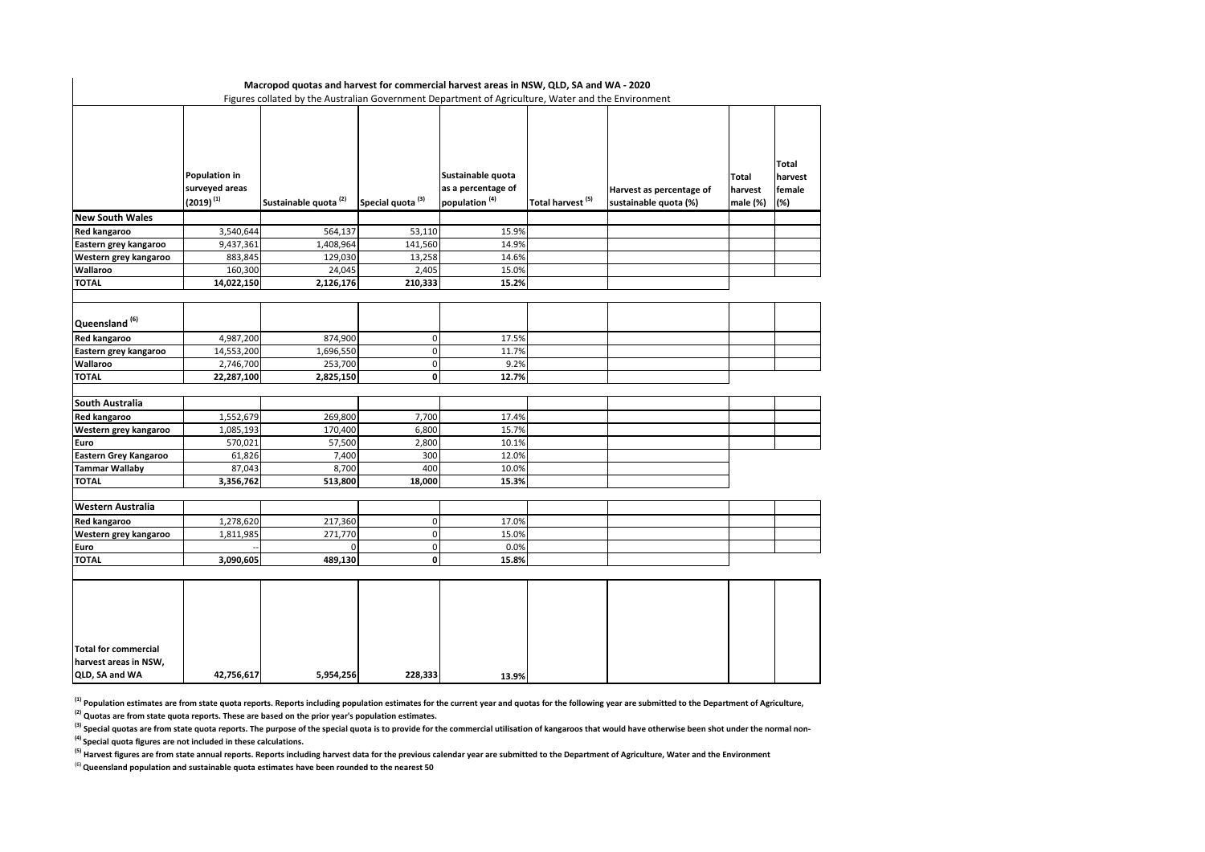|                                                      |                                                          | Macropod quotas and harvest for commercial harvest areas in NSW, QLD, SA and WA - 2020<br>Figures collated by the Australian Government Department of Agriculture, Water and the Environment |                              |                                                                      |                              |                                                   |                              |                                   |
|------------------------------------------------------|----------------------------------------------------------|----------------------------------------------------------------------------------------------------------------------------------------------------------------------------------------------|------------------------------|----------------------------------------------------------------------|------------------------------|---------------------------------------------------|------------------------------|-----------------------------------|
|                                                      | <b>Population in</b><br>surveyed areas<br>$(2019)^{(1)}$ | Sustainable quota <sup>(2)</sup>                                                                                                                                                             | Special quota <sup>(3)</sup> | Sustainable quota<br>as a percentage of<br>population <sup>(4)</sup> | Total harvest <sup>(5)</sup> | Harvest as percentage of<br>sustainable quota (%) | Total<br>harvest<br>male (%) | Total<br>harvest<br>female<br>(%) |
| <b>New South Wales</b>                               |                                                          |                                                                                                                                                                                              |                              |                                                                      |                              |                                                   |                              |                                   |
| Red kangaroo                                         | 3,540,644                                                | 564,137                                                                                                                                                                                      | 53,110                       | 15.9%                                                                |                              |                                                   |                              |                                   |
| Eastern grey kangaroo                                | 9,437,361                                                | 1,408,964                                                                                                                                                                                    | 141,560                      | 14.9%                                                                |                              |                                                   |                              |                                   |
| Western grey kangaroo                                | 883,845                                                  | 129,030                                                                                                                                                                                      | 13,258                       | 14.6%                                                                |                              |                                                   |                              |                                   |
| Wallaroo                                             | 160,300                                                  | 24,045                                                                                                                                                                                       | 2,405                        | 15.0%                                                                |                              |                                                   |                              |                                   |
| <b>TOTAL</b>                                         | 14,022,150                                               | 2,126,176                                                                                                                                                                                    | 210,333                      | 15.2%                                                                |                              |                                                   |                              |                                   |
| Queensland <sup>(6)</sup>                            |                                                          |                                                                                                                                                                                              |                              |                                                                      |                              |                                                   |                              |                                   |
| <b>Red kangaroo</b>                                  | 4,987,200                                                | 874,900                                                                                                                                                                                      | $\mathbf 0$                  | 17.5%                                                                |                              |                                                   |                              |                                   |
| Eastern grey kangaroo                                | 14,553,200                                               | 1,696,550                                                                                                                                                                                    | $\mathbf 0$                  | 11.7%                                                                |                              |                                                   |                              |                                   |
| Wallaroo                                             | 2,746,700                                                | 253,700                                                                                                                                                                                      | $\mathbf 0$                  | 9.2%                                                                 |                              |                                                   |                              |                                   |
| TOTAL                                                | 22,287,100                                               | 2,825,150                                                                                                                                                                                    | $\mathbf{0}$                 | 12.7%                                                                |                              |                                                   |                              |                                   |
| South Australia                                      |                                                          |                                                                                                                                                                                              |                              |                                                                      |                              |                                                   |                              |                                   |
| Red kangaroo                                         | 1,552,679                                                | 269,800                                                                                                                                                                                      | 7,700                        | 17.4%                                                                |                              |                                                   |                              |                                   |
| Western grey kangaroo                                | 1,085,193                                                | 170,400                                                                                                                                                                                      | 6,800                        | 15.7%                                                                |                              |                                                   |                              |                                   |
| Euro                                                 | 570,021                                                  | 57,500                                                                                                                                                                                       | 2,800                        | 10.1%                                                                |                              |                                                   |                              |                                   |
| Eastern Grey Kangaroo                                | 61,826                                                   | 7,400                                                                                                                                                                                        | 300                          | 12.0%                                                                |                              |                                                   |                              |                                   |
| <b>Tammar Wallaby</b>                                | 87,043                                                   | 8,700                                                                                                                                                                                        | 400                          | 10.0%                                                                |                              |                                                   |                              |                                   |
| <b>TOTAL</b>                                         | 3,356,762                                                | 513,800                                                                                                                                                                                      | 18,000                       | 15.3%                                                                |                              |                                                   |                              |                                   |
| Western Australia                                    |                                                          |                                                                                                                                                                                              |                              |                                                                      |                              |                                                   |                              |                                   |
| Red kangaroo                                         | 1,278,620                                                | 217,360                                                                                                                                                                                      | 0                            | 17.0%                                                                |                              |                                                   |                              |                                   |
| Western grey kangaroo                                | 1,811,985                                                | 271,770                                                                                                                                                                                      | $\mathbf 0$                  | 15.0%                                                                |                              |                                                   |                              |                                   |
| Euro                                                 |                                                          | $\Omega$                                                                                                                                                                                     | $\mathbf 0$                  | 0.0%                                                                 |                              |                                                   |                              |                                   |
| <b>TOTAL</b>                                         | 3,090,605                                                | 489,130                                                                                                                                                                                      | 0                            | 15.8%                                                                |                              |                                                   |                              |                                   |
| <b>Total for commercial</b><br>harvest areas in NSW, |                                                          |                                                                                                                                                                                              |                              |                                                                      |                              |                                                   |                              |                                   |
| QLD, SA and WA                                       | 42,756,617                                               | 5,954,256                                                                                                                                                                                    | 228,333                      | 13.9%                                                                |                              |                                                   |                              |                                   |

**(1) Population estimates are from state quota reports. Reports including population estimates for the current year and quotas for the following year are submitted to the Department of Agriculture,** 

**(2) Quotas are from state quota reports. These are based on the prior year's population estimates.** 

<sup>(3)</sup> Special quotas are from state quota reports. The purpose of the special quota is to provide for the commercial utilisation of kangaroos that would have otherwise been shot under the normal non-

**(4) Special quota figures are not included in these calculations.**

<sup>(5)</sup> Harvest figures are from state annual reports. Reports including harvest data for the previous calendar year are submitted to the Department of Agriculture, Water and the Environment

(6) **Queensland population and sustainable quota estimates have been rounded to the nearest 50**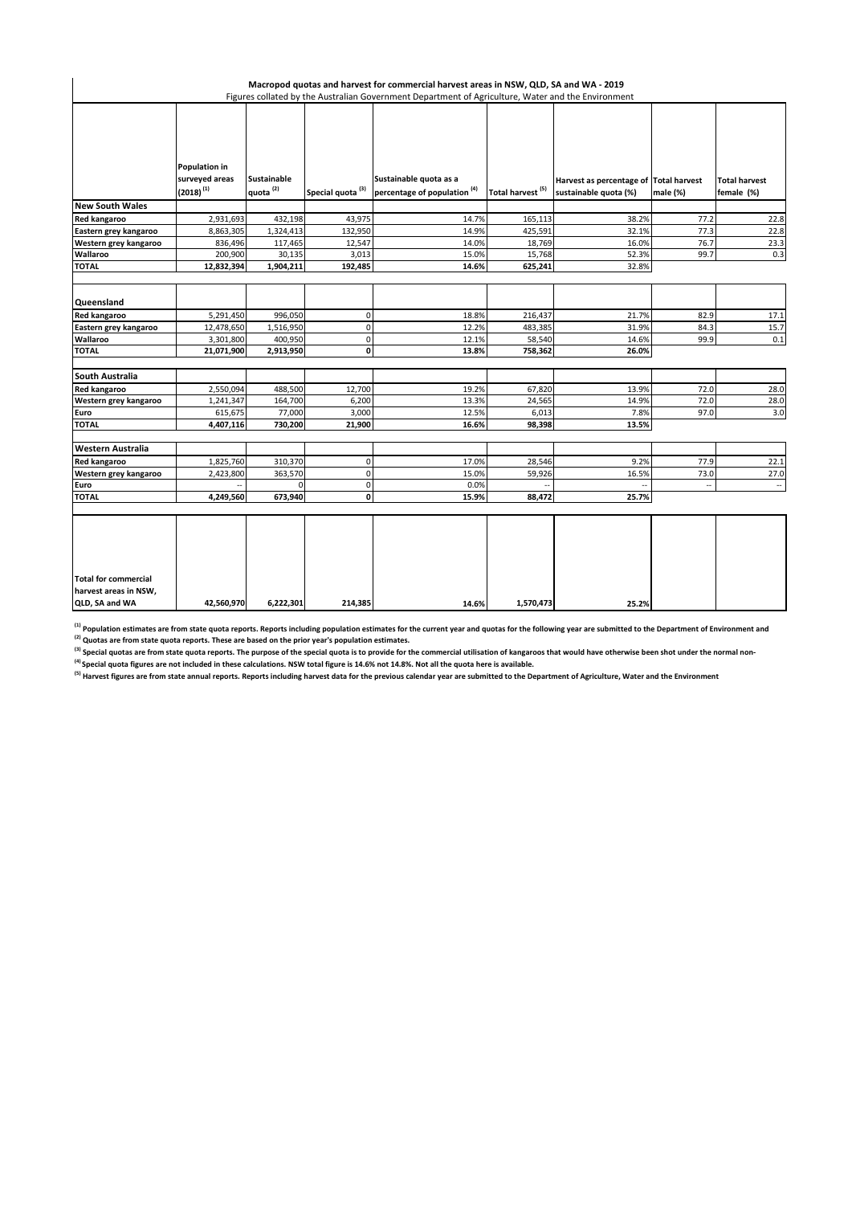|                                                                        |                                                   |                                            |                              | Macropod quotas and harvest for commercial harvest areas in NSW, QLD, SA and WA - 2019<br>Figures collated by the Australian Government Department of Agriculture, Water and the Environment |                              |                                                                 |          |                                    |
|------------------------------------------------------------------------|---------------------------------------------------|--------------------------------------------|------------------------------|----------------------------------------------------------------------------------------------------------------------------------------------------------------------------------------------|------------------------------|-----------------------------------------------------------------|----------|------------------------------------|
|                                                                        | Population in<br>surveyed areas<br>$(2018)^{(1)}$ | <b>Sustainable</b><br>quota <sup>(2)</sup> | Special quota <sup>(3)</sup> | Sustainable quota as a<br>percentage of population <sup>(4)</sup>                                                                                                                            | Total harvest <sup>(5)</sup> | Harvest as percentage of Total harvest<br>sustainable quota (%) | male (%) | <b>Total harvest</b><br>female (%) |
| <b>New South Wales</b>                                                 |                                                   |                                            |                              |                                                                                                                                                                                              |                              |                                                                 |          |                                    |
| <b>Red kangaroo</b>                                                    | 2,931,693                                         | 432,198                                    | 43,975                       | 14.7%                                                                                                                                                                                        | 165,113                      | 38.2%                                                           | 77.2     | 22.8                               |
| Eastern grey kangaroo                                                  | 8,863,305                                         | 1,324,413                                  | 132,950                      | 14.9%                                                                                                                                                                                        | 425,591                      | 32.1%                                                           | 77.3     | 22.8                               |
| Western grey kangaroo                                                  | 836,496                                           | 117,465                                    | 12,547                       | 14.0%                                                                                                                                                                                        | 18,769                       | 16.0%                                                           | 76.7     | 23.3                               |
| Wallaroo                                                               | 200,900                                           | 30,135                                     | 3,013                        | 15.0%                                                                                                                                                                                        | 15,768                       | 52.3%                                                           | 99.7     | 0.3                                |
| <b>TOTAL</b>                                                           | 12,832,394                                        | 1,904,211                                  | 192,485                      | 14.6%                                                                                                                                                                                        | 625,241                      | 32.8%                                                           |          |                                    |
| Queensland                                                             |                                                   |                                            |                              |                                                                                                                                                                                              |                              |                                                                 |          |                                    |
| <b>Red kangaroo</b>                                                    | 5,291,450                                         | 996,050                                    | $\mathbf 0$                  | 18.8%                                                                                                                                                                                        | 216,437                      | 21.7%                                                           | 82.9     | 17.1                               |
| Eastern grey kangaroo                                                  | 12,478,650                                        | 1,516,950                                  | $\pmb{0}$                    | 12.2%                                                                                                                                                                                        | 483,385                      | 31.9%                                                           | 84.3     | 15.7                               |
| Wallaroo                                                               | 3,301,800                                         | 400,950                                    | $\mathbf 0$                  | 12.1%                                                                                                                                                                                        | 58,540                       | 14.6%                                                           | 99.9     | 0.1                                |
| <b>TOTAL</b>                                                           | 21,071,900                                        | 2,913,950                                  | $\mathbf{0}$                 | 13.8%                                                                                                                                                                                        | 758,362                      | 26.0%                                                           |          |                                    |
| South Australia                                                        |                                                   |                                            |                              |                                                                                                                                                                                              |                              |                                                                 |          |                                    |
| <b>Red kangaroo</b>                                                    | 2,550,094                                         | 488,500                                    | 12,700                       | 19.2%                                                                                                                                                                                        | 67,820                       | 13.9%                                                           | 72.0     | 28.0                               |
| Western grey kangaroo                                                  | 1,241,347                                         | 164,700                                    | 6,200                        | 13.3%                                                                                                                                                                                        | 24,565                       | 14.9%                                                           | 72.0     | 28.0                               |
| Euro                                                                   | 615,675                                           | 77,000                                     | 3,000                        | 12.5%                                                                                                                                                                                        | 6,013                        | 7.8%                                                            | 97.0     | 3.0                                |
| <b>TOTAL</b>                                                           | 4,407,116                                         | 730,200                                    | 21,900                       | 16.6%                                                                                                                                                                                        | 98,398                       | 13.5%                                                           |          |                                    |
| Western Australia                                                      |                                                   |                                            |                              |                                                                                                                                                                                              |                              |                                                                 |          |                                    |
| <b>Red kangaroo</b>                                                    | 1,825,760                                         | 310,370                                    | $\mathbf 0$                  | 17.0%                                                                                                                                                                                        | 28,546                       | 9.2%                                                            | 77.9     | 22.1                               |
| Western grey kangaroo                                                  | 2,423,800                                         | 363,570                                    | $\mathbf 0$                  | 15.0%                                                                                                                                                                                        | 59,926                       | 16.5%                                                           | 73.0     | 27.0                               |
| Euro                                                                   |                                                   | 0                                          | $\mathbf 0$                  | 0.0%                                                                                                                                                                                         |                              |                                                                 | $\sim$   | $\overline{\phantom{a}}$           |
| TOTAL                                                                  | 4,249,560                                         | 673,940                                    | $\mathbf{0}$                 | 15.9%                                                                                                                                                                                        | 88,472                       | 25.7%                                                           |          |                                    |
| <b>Total for commercial</b><br>harvest areas in NSW,<br>QLD, SA and WA | 42,560,970                                        | 6,222,301                                  | 214,385                      | 14.6%                                                                                                                                                                                        | 1,570,473                    | 25.2%                                                           |          |                                    |

<sup>(1)</sup> Population estimates are from state quota reports. Reports including population estimates for the current year and quotas for the following year are submitted to the Department of Environment and

**(2) Quotas are from state quota reports. These are based on the prior year's population estimates.** 

**(3)** Special quotas are from state quota reports. The purpose of the special quota is to provide for the commercial utilisation of kangaroos that would have otherwise been shot under the normal non-<br>
and a special quotas **(4) Special quota figures are not included in these calculations. NSW total figure is 14.6% not 14.8%. Not all the quota here is available.** 

<sup>(5)</sup> Harvest figures are from state annual reports. Reports including harvest data for the previous calendar year are submitted to the Department of Agriculture, Water and the Environment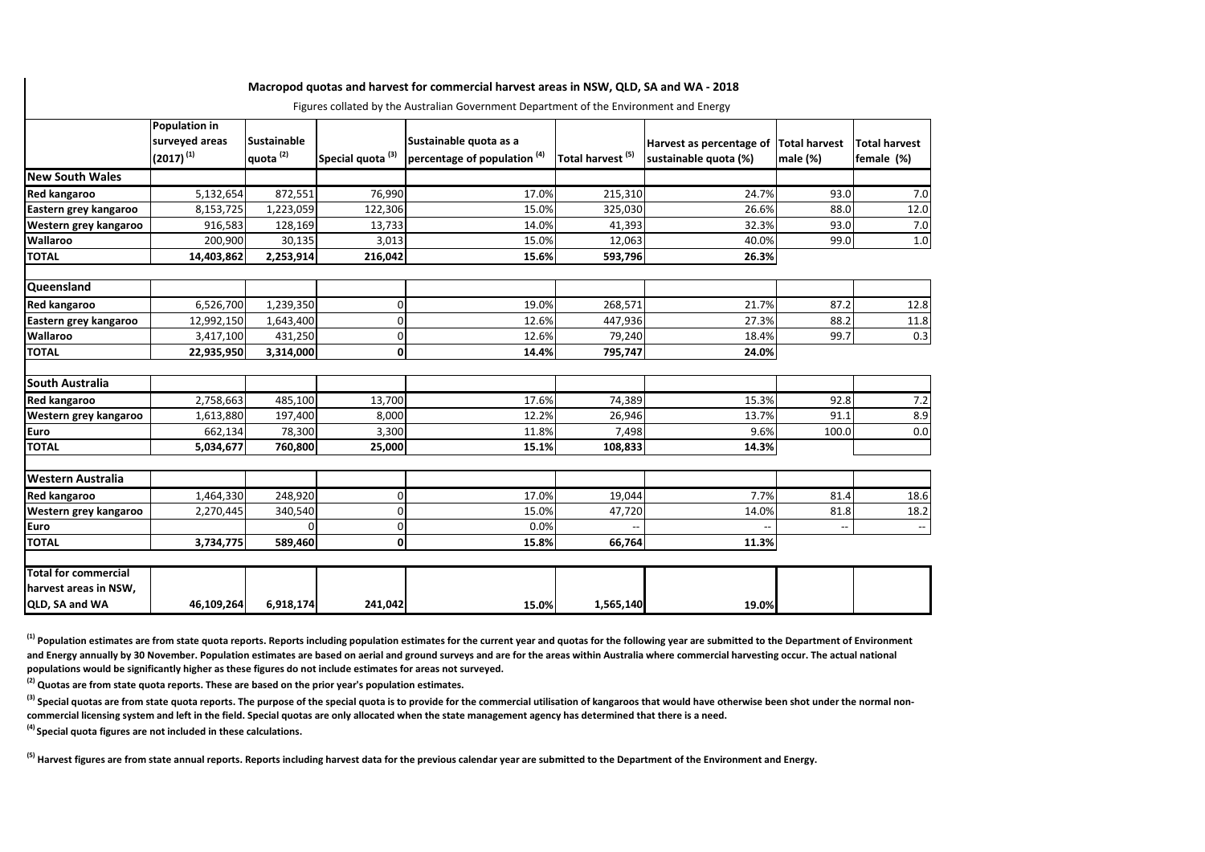|                                                      |                                                          |                                            |                              | Figures collated by the Australian Government Department of the Environment and Energy |                              |                                                                 |                          |                                    |
|------------------------------------------------------|----------------------------------------------------------|--------------------------------------------|------------------------------|----------------------------------------------------------------------------------------|------------------------------|-----------------------------------------------------------------|--------------------------|------------------------------------|
|                                                      | <b>Population in</b><br>surveyed areas<br>$(2017)^{(1)}$ | <b>Sustainable</b><br>quota <sup>(2)</sup> | Special quota <sup>(3)</sup> | Sustainable quota as a<br>percentage of population <sup>(4)</sup>                      | Total harvest <sup>(5)</sup> | Harvest as percentage of Total harvest<br>sustainable quota (%) | male $(\%)$              | <b>Total harvest</b><br>female (%) |
| <b>New South Wales</b>                               |                                                          |                                            |                              |                                                                                        |                              |                                                                 |                          |                                    |
| Red kangaroo                                         | 5,132,654                                                | 872,551                                    | 76,990                       | 17.0%                                                                                  | 215,310                      | 24.7%                                                           | 93.0                     | 7.0                                |
| Eastern grey kangaroo                                | 8,153,725                                                | 1,223,059                                  | 122,306                      | 15.0%                                                                                  | 325,030                      | 26.6%                                                           | 88.0                     | 12.0                               |
| Western grey kangaroo                                | 916,583                                                  | 128,169                                    | 13,733                       | 14.0%                                                                                  | 41,393                       | 32.3%                                                           | 93.0                     | 7.0                                |
| Wallaroo                                             | 200,900                                                  | 30,135                                     | 3,013                        | 15.0%                                                                                  | 12,063                       | 40.0%                                                           | 99.0                     | $1.0\,$                            |
| <b>TOTAL</b>                                         | 14,403,862                                               | 2,253,914                                  | 216,042                      | 15.6%                                                                                  | 593,796                      | 26.3%                                                           |                          |                                    |
|                                                      |                                                          |                                            |                              |                                                                                        |                              |                                                                 |                          |                                    |
| Queensland                                           |                                                          |                                            |                              |                                                                                        |                              |                                                                 |                          |                                    |
| Red kangaroo                                         | 6,526,700                                                | 1,239,350                                  | 0                            | 19.0%                                                                                  | 268,571                      | 21.7%                                                           | 87.2                     | 12.8                               |
| Eastern grey kangaroo                                | 12,992,150                                               | 1,643,400                                  | 0                            | 12.6%                                                                                  | 447,936                      | 27.3%                                                           | 88.2                     | 11.8                               |
| Wallaroo                                             | 3,417,100                                                | 431,250                                    | 0                            | 12.6%                                                                                  | 79,240                       | 18.4%                                                           | 99.7                     | 0.3                                |
| <b>TOTAL</b>                                         | 22,935,950                                               | 3,314,000                                  | 0                            | 14.4%                                                                                  | 795,747                      | 24.0%                                                           |                          |                                    |
|                                                      |                                                          |                                            |                              |                                                                                        |                              |                                                                 |                          |                                    |
| South Australia                                      |                                                          |                                            |                              |                                                                                        |                              |                                                                 |                          |                                    |
| Red kangaroo                                         | 2,758,663                                                | 485,100                                    | 13,700                       | 17.6%                                                                                  | 74,389                       | 15.3%                                                           | 92.8                     | 7.2                                |
| Western grey kangaroo                                | 1,613,880                                                | 197,400                                    | 8,000                        | 12.2%                                                                                  | 26,946                       | 13.7%                                                           | 91.1                     | 8.9                                |
| Euro                                                 | 662,134                                                  | 78,300                                     | 3,300                        | 11.8%                                                                                  | 7,498                        | 9.6%                                                            | 100.0                    | 0.0                                |
| <b>TOTAL</b>                                         | 5,034,677                                                | 760,800                                    | 25,000                       | 15.1%                                                                                  | 108,833                      | 14.3%                                                           |                          |                                    |
|                                                      |                                                          |                                            |                              |                                                                                        |                              |                                                                 |                          |                                    |
| <b>Western Australia</b>                             |                                                          |                                            |                              |                                                                                        |                              |                                                                 |                          |                                    |
| Red kangaroo                                         | 1,464,330                                                | 248,920                                    | 0                            | 17.0%                                                                                  | 19,044                       | 7.7%                                                            | 81.4                     | 18.6                               |
| Western grey kangaroo                                | 2,270,445                                                | 340,540                                    | 0                            | 15.0%                                                                                  | 47,720                       | 14.0%                                                           | 81.8                     | 18.2                               |
| Euro                                                 |                                                          | <sup>0</sup>                               | ŋ                            | 0.0%                                                                                   |                              |                                                                 | $\overline{\phantom{a}}$ | $\overline{\phantom{a}}$           |
| <b>TOTAL</b>                                         | 3,734,775                                                | 589,460                                    | $\Omega$                     | 15.8%                                                                                  | 66,764                       | 11.3%                                                           |                          |                                    |
|                                                      |                                                          |                                            |                              |                                                                                        |                              |                                                                 |                          |                                    |
| <b>Total for commercial</b><br>harvest areas in NSW, |                                                          |                                            |                              |                                                                                        |                              |                                                                 |                          |                                    |
| QLD, SA and WA                                       | 46,109,264                                               | 6,918,174                                  | 241,042                      | 15.0%                                                                                  | 1,565,140                    | 19.0%                                                           |                          |                                    |

**Macropod quotas and harvest for commercial harvest areas in NSW, QLD, SA and WA - 2018** 

<sup>(1)</sup> Population estimates are from state quota reports. Reports including population estimates for the current year and quotas for the following year are submitted to the Department of Environment and Energy annually by 30 November. Population estimates are based on aerial and ground surveys and are for the areas within Australia where commercial harvesting occur. The actual national **populations would be significantly higher as these figures do not include estimates for areas not surveyed.**

**(2) Quotas are from state quota reports. These are based on the prior year's population estimates.** 

<sup>(3)</sup> Special quotas are from state quota reports. The purpose of the special quota is to provide for the commercial utilisation of kangaroos that would have otherwise been shot under the normal non**commercial licensing system and left in the field. Special quotas are only allocated when the state management agency has determined that there is a need.**

**(4) Special quota figures are not included in these calculations.**

**(5) Harvest figures are from state annual reports. Reports including harvest data for the previous calendar year are submitted to the Department of the Environment and Energy.**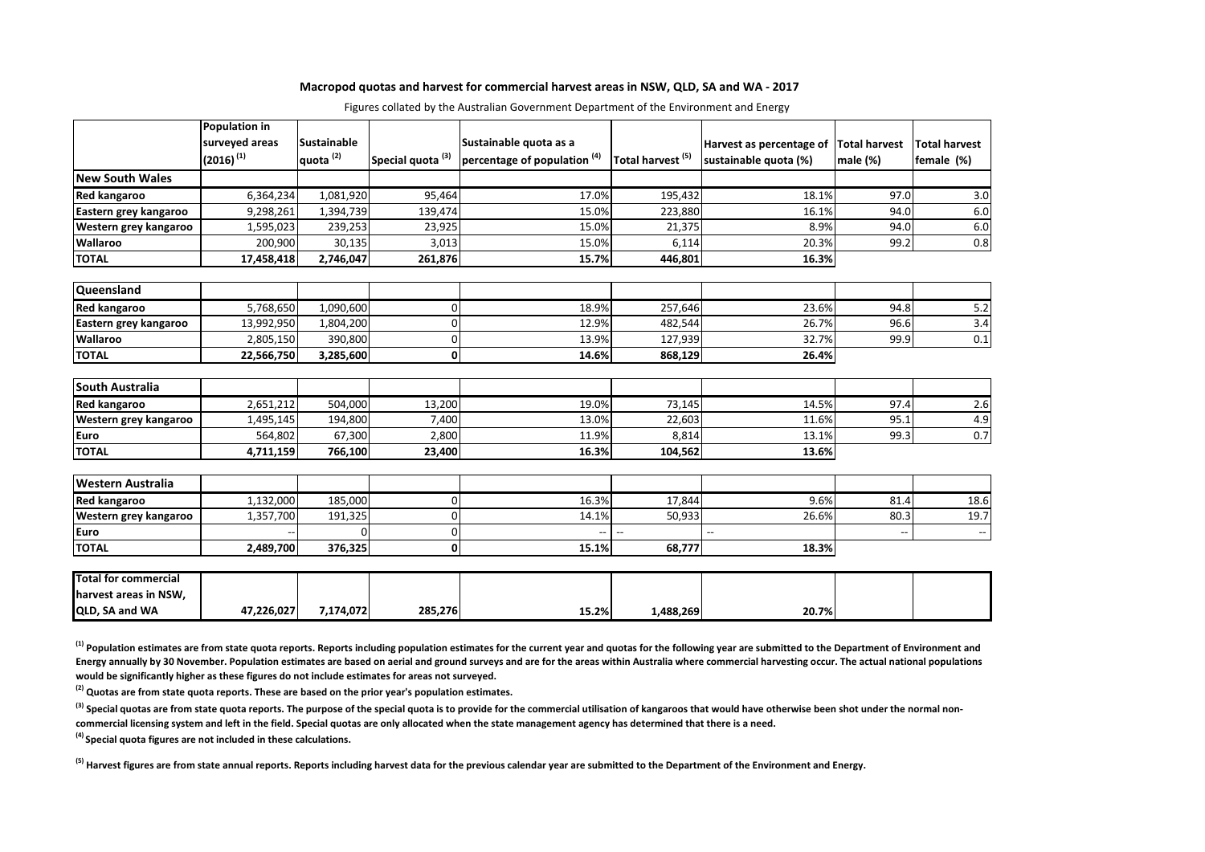#### **Macropod quotas and harvest for commercial harvest areas in NSW, QLD, SA and WA - 2017**

|                                                                        | Population in<br>surveyed areas<br>$(2016)^{(1)}$ | <b>Sustainable</b><br>quota <sup>(2)</sup> | Special quota <sup>(3)</sup> | Sustainable quota as a<br>percentage of population <sup>(4)</sup> | Total harvest <sup>(5)</sup> | Harvest as percentage of Total harvest<br>sustainable quota (%) | male (%) | <b>Total harvest</b><br>female (%) |
|------------------------------------------------------------------------|---------------------------------------------------|--------------------------------------------|------------------------------|-------------------------------------------------------------------|------------------------------|-----------------------------------------------------------------|----------|------------------------------------|
| <b>New South Wales</b>                                                 |                                                   |                                            |                              |                                                                   |                              |                                                                 |          |                                    |
| Red kangaroo                                                           | 6,364,234                                         | 1,081,920                                  | 95,464                       | 17.0%                                                             | 195,432                      | 18.1%                                                           | 97.0     | 3.0                                |
| Eastern grey kangaroo                                                  | 9,298,261                                         | 1,394,739                                  | 139,474                      | 15.0%                                                             | 223,880                      | 16.1%                                                           | 94.0     | 6.0                                |
| Western grey kangaroo                                                  | 1,595,023                                         | 239,253                                    | 23,925                       | 15.0%                                                             | 21,375                       | 8.9%                                                            | 94.0     | 6.0                                |
| Wallaroo                                                               | 200,900                                           | 30,135                                     | 3,013                        | 15.0%                                                             | 6,114                        | 20.3%                                                           | 99.2     | 0.8                                |
| <b>TOTAL</b>                                                           | 17,458,418                                        | 2,746,047                                  | 261,876                      | 15.7%                                                             | 446,801                      | 16.3%                                                           |          |                                    |
|                                                                        |                                                   |                                            |                              |                                                                   |                              |                                                                 |          |                                    |
| Queensland                                                             |                                                   |                                            |                              |                                                                   |                              |                                                                 |          |                                    |
| Red kangaroo                                                           | 5,768,650                                         | 1,090,600                                  | $\Omega$                     | 18.9%                                                             | 257,646                      | 23.6%                                                           | 94.8     | 5.2                                |
| Eastern grey kangaroo                                                  | 13,992,950                                        | 1,804,200                                  | C                            | 12.9%                                                             | 482,544                      | 26.7%                                                           | 96.6     | 3.4                                |
| Wallaroo                                                               | 2,805,150                                         | 390,800                                    | $\Omega$                     | 13.9%                                                             | 127,939                      | 32.7%                                                           | 99.9     | $0.1\,$                            |
| <b>TOTAL</b>                                                           | 22,566,750                                        | 3,285,600                                  | 0                            | 14.6%                                                             | 868,129                      | 26.4%                                                           |          |                                    |
| South Australia                                                        |                                                   |                                            |                              |                                                                   |                              |                                                                 |          |                                    |
| <b>Red kangaroo</b>                                                    | 2,651,212                                         | 504,000                                    | 13,200                       | 19.0%                                                             | 73,145                       | 14.5%                                                           | 97.4     | 2.6                                |
| Western grey kangaroo                                                  | 1,495,145                                         | 194,800                                    | 7,400                        | 13.0%                                                             | 22,603                       | 11.6%                                                           | 95.1     | 4.9                                |
| Euro                                                                   | 564,802                                           | 67,300                                     | 2,800                        | 11.9%                                                             | 8,814                        | 13.1%                                                           | 99.3     | 0.7                                |
| <b>TOTAL</b>                                                           | 4,711,159                                         | 766,100                                    | 23,400                       | 16.3%                                                             | 104,562                      | 13.6%                                                           |          |                                    |
| <b>Western Australia</b>                                               |                                                   |                                            |                              |                                                                   |                              |                                                                 |          |                                    |
|                                                                        |                                                   | 185,000                                    | $\Omega$                     | 16.3%                                                             | 17,844                       | 9.6%                                                            | 81.4     |                                    |
| Red kangaroo<br>Western grey kangaroo                                  | 1,132,000<br>1,357,700                            | 191,325                                    | n                            | 14.1%                                                             | 50,933                       | 26.6%                                                           | 80.3     | 18.6<br>19.7                       |
| Euro                                                                   |                                                   | 0                                          | $\Omega$                     | --                                                                | $\overline{\phantom{a}}$     |                                                                 |          |                                    |
| <b>TOTAL</b>                                                           | 2,489,700                                         | 376,325                                    | 0                            | 15.1%                                                             | 68,777                       | 18.3%                                                           |          | $\overline{\phantom{a}}$           |
|                                                                        |                                                   |                                            |                              |                                                                   |                              |                                                                 |          |                                    |
| <b>Total for commercial</b><br>harvest areas in NSW,<br>QLD, SA and WA | 47,226,027                                        | 7,174,072                                  | 285,276                      | 15.2%                                                             | 1,488,269                    | 20.7%                                                           |          |                                    |

Figures collated by the Australian Government Department of the Environment and Energy

<sup>(1)</sup> Population estimates are from state quota reports. Reports including population estimates for the current year and quotas for the following year are submitted to the Department of Environment and **Energy annually by 30 November. Population estimates are based on aerial and ground surveys and are for the areas within Australia where commercial harvesting occur. The actual national populations would be significantly higher as these figures do not include estimates for areas not surveyed.**

**(2) Quotas are from state quota reports. These are based on the prior year's population estimates.** 

<sup>(3)</sup> Special quotas are from state quota reports. The purpose of the special quota is to provide for the commercial utilisation of kangaroos that would have otherwise been shot under the normal non**commercial licensing system and left in the field. Special quotas are only allocated when the state management agency has determined that there is a need.**

**(4) Special quota figures are not included in these calculations.**

**(5) Harvest figures are from state annual reports. Reports including harvest data for the previous calendar year are submitted to the Department of the Environment and Energy.**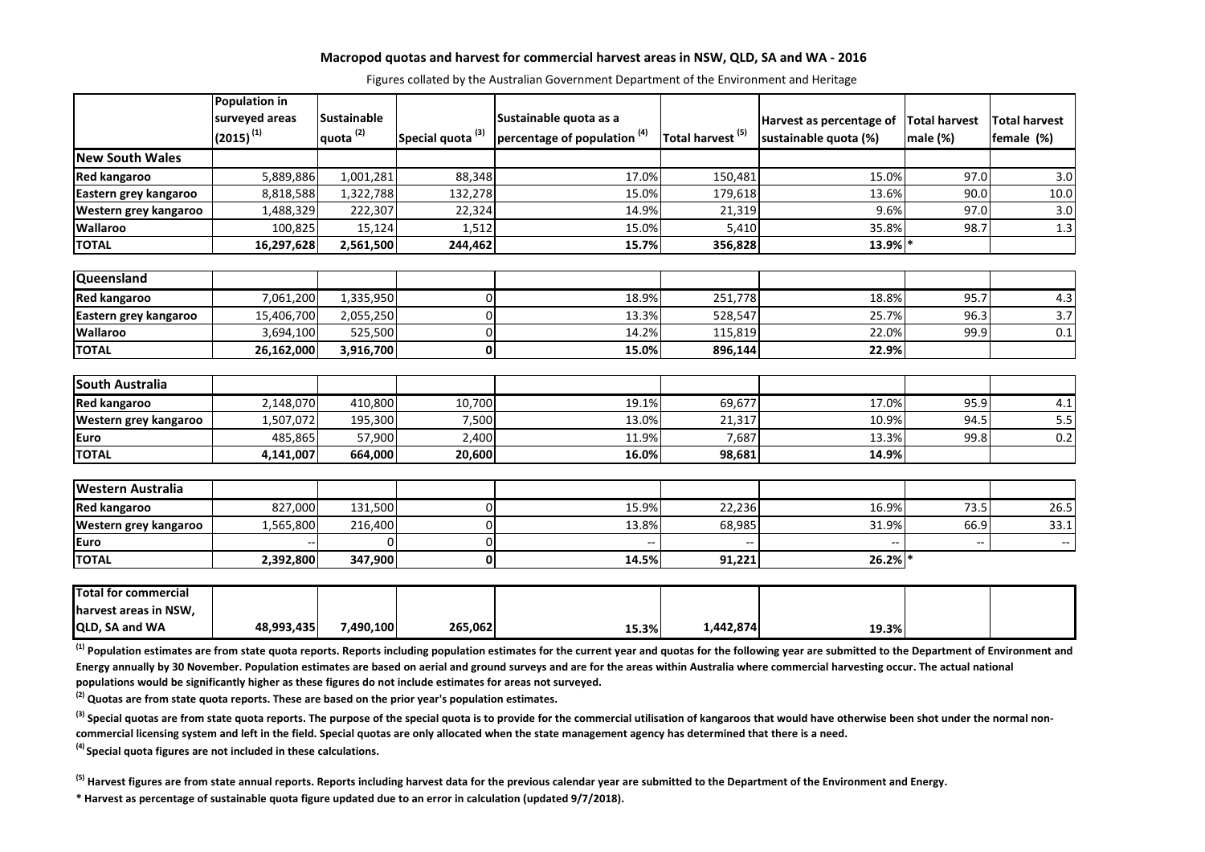### **Macropod quotas and harvest for commercial harvest areas in NSW, QLD, SA and WA - 2016**

Figures collated by the Australian Government Department of the Environment and Heritage

|                             | <b>Population in</b> |                      |                              |                                         |                              |                                        |          |                          |
|-----------------------------|----------------------|----------------------|------------------------------|-----------------------------------------|------------------------------|----------------------------------------|----------|--------------------------|
|                             | surveyed areas       | <b>Sustainable</b>   |                              | Sustainable quota as a                  |                              | Harvest as percentage of Total harvest |          | <b>Total harvest</b>     |
|                             | $(2015)^{(1)}$       | quota <sup>(2)</sup> | Special quota <sup>(3)</sup> | percentage of population <sup>(4)</sup> | Total harvest <sup>(5)</sup> | sustainable quota (%)                  | male (%) | female (%)               |
| <b>New South Wales</b>      |                      |                      |                              |                                         |                              |                                        |          |                          |
| <b>Red kangaroo</b>         | 5,889,886            | 1,001,281            | 88,348                       | 17.0%                                   | 150,481                      | 15.0%                                  | 97.0     | 3.0                      |
| Eastern grey kangaroo       | 8,818,588            | 1,322,788            | 132,278                      | 15.0%                                   | 179,618                      | 13.6%                                  | 90.0     | 10.0                     |
| Western grey kangaroo       | 1,488,329            | 222,307              | 22,324                       | 14.9%                                   | 21,319                       | 9.6%                                   | 97.0     | 3.0                      |
| <b>Wallaroo</b>             | 100,825              | 15,124               | 1,512                        | 15.0%                                   | 5,410                        | 35.8%                                  | 98.7     | 1.3                      |
| <b>TOTAL</b>                | 16,297,628           | 2,561,500            | 244,462                      | 15.7%                                   | 356,828                      | 13.9% *                                |          |                          |
|                             |                      |                      |                              |                                         |                              |                                        |          |                          |
| Queensland                  |                      |                      |                              |                                         |                              |                                        |          |                          |
| <b>Red kangaroo</b>         | 7,061,200            | 1,335,950            | 0                            | 18.9%                                   | 251,778                      | 18.8%                                  | 95.7     | 4.3                      |
| Eastern grey kangaroo       | 15,406,700           | 2,055,250            | $\Omega$                     | 13.3%                                   | 528,547                      | 25.7%                                  | 96.3     | $\overline{3.7}$         |
| <b>Wallaroo</b>             | 3,694,100            | 525,500              | 0                            | 14.2%                                   | 115,819                      | 22.0%                                  | 99.9     | 0.1                      |
| <b>TOTAL</b>                | 26,162,000           | 3,916,700            | 0                            | 15.0%                                   | 896,144                      | 22.9%                                  |          |                          |
| <b>South Australia</b>      |                      |                      |                              |                                         |                              |                                        |          |                          |
| <b>Red kangaroo</b>         | 2,148,070            | 410,800              | 10,700                       | 19.1%                                   | 69,677                       | 17.0%                                  | 95.9     | 4.1                      |
| Western grey kangaroo       | 1,507,072            | 195,300              | 7,500                        | 13.0%                                   | 21,317                       | 10.9%                                  | 94.5     | 5.5                      |
| <b>Euro</b>                 | 485,865              | 57,900               | 2,400                        | 11.9%                                   | 7,687                        | 13.3%                                  | 99.8     | 0.2                      |
| <b>TOTAL</b>                | 4,141,007            | 664,000              | 20,600                       | 16.0%                                   | 98,681                       | 14.9%                                  |          |                          |
|                             |                      |                      |                              |                                         |                              |                                        |          |                          |
| <b>Western Australia</b>    |                      |                      |                              |                                         |                              |                                        |          |                          |
| <b>Red kangaroo</b>         | 827,000              | 131,500              | 0                            | 15.9%                                   | 22,236                       | 16.9%                                  | 73.5     | 26.5                     |
| Western grey kangaroo       | 1,565,800            | 216,400              | $\Omega$                     | 13.8%                                   | 68,985                       | 31.9%                                  | 66.9     | 33.1                     |
| <b>Euro</b>                 |                      | O.                   | 0                            |                                         |                              |                                        | Ξ.       | $\overline{\phantom{a}}$ |
| <b>TOTAL</b>                | 2,392,800            | 347,900              | 0                            | 14.5%                                   | 91,221                       | 26.2%                                  |          |                          |
| <b>Total for commercial</b> |                      |                      |                              |                                         |                              |                                        |          |                          |
| harvest areas in NSW,       |                      |                      |                              |                                         |                              |                                        |          |                          |
| QLD, SA and WA              | 48,993,435           | 7,490,100            | 265,062                      | 15.3%                                   | 1,442,874                    | 19.3%                                  |          |                          |

<sup>(1)</sup> Population estimates are from state quota reports. Reports including population estimates for the current year and quotas for the following year are submitted to the Department of Environment and Energy annually by 30 November. Population estimates are based on aerial and ground surveys and are for the areas within Australia where commercial harvesting occur. The actual national **populations would be significantly higher as these figures do not include estimates for areas not surveyed.**

**(2) Quotas are from state quota reports. These are based on the prior year's population estimates.** 

<sup>(3)</sup> Special quotas are from state quota reports. The purpose of the special quota is to provide for the commercial utilisation of kangaroos that would have otherwise been shot under the normal non**commercial licensing system and left in the field. Special quotas are only allocated when the state management agency has determined that there is a need.**

**(4) Special quota figures are not included in these calculations.**

**(5) Harvest figures are from state annual reports. Reports including harvest data for the previous calendar year are submitted to the Department of the Environment and Energy.**

**\* Harvest as percentage of sustainable quota figure updated due to an error in calculation (updated 9/7/2018).**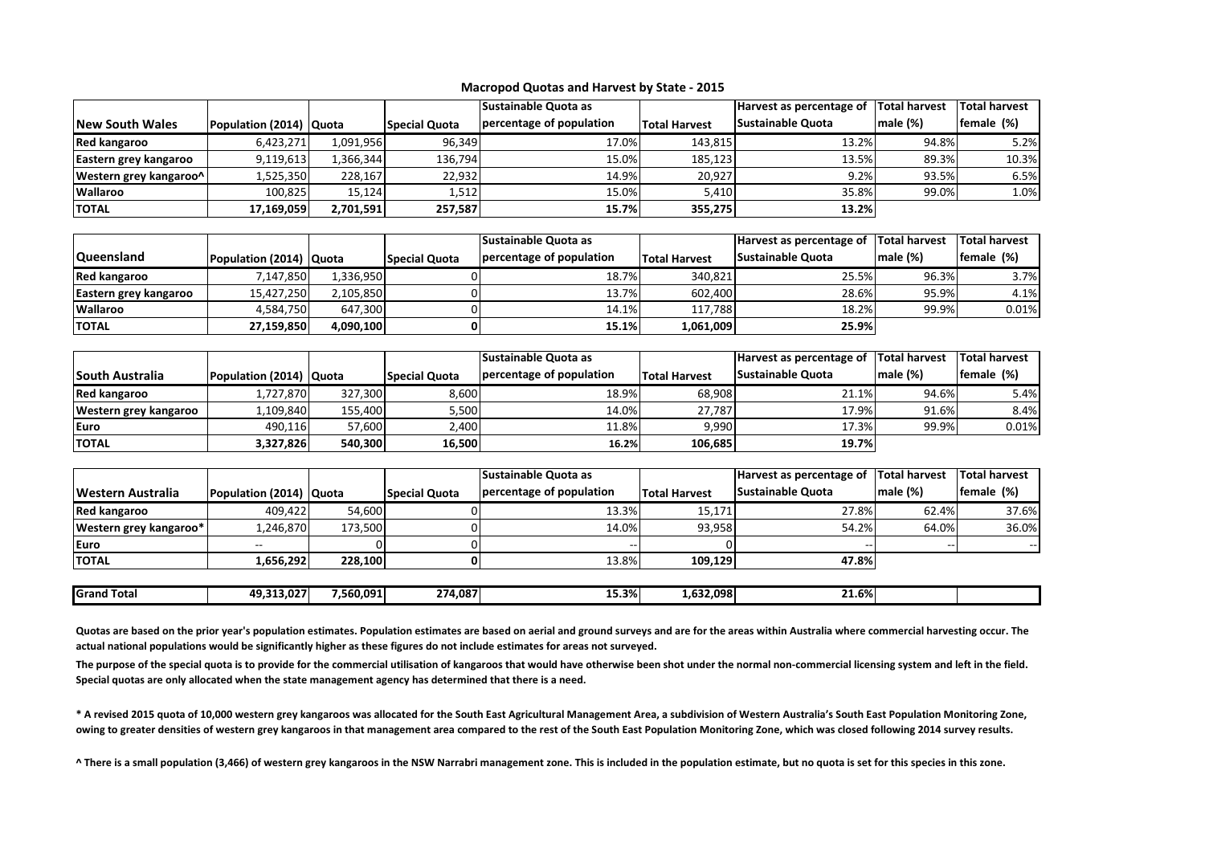|                        |                         |           |                      | <b>Sustainable Quota as</b> |                      | Harvest as percentage of Total harvest |         | Total harvest |
|------------------------|-------------------------|-----------|----------------------|-----------------------------|----------------------|----------------------------------------|---------|---------------|
| <b>New South Wales</b> | Population (2014) Quota |           | <b>Special Quota</b> | percentage of population    | <b>Total Harvest</b> | <b>Sustainable Quota</b>               | male(%) | female (%)    |
| Red kangaroo           | 6.423.271               | 1,091,956 | 96.349               | 17.0%                       | 143.815              | 13.2%                                  | 94.8%   | 5.2%          |
| Eastern grey kangaroo  | 9,119,613               | .366.344  | 136,794              | 15.0%                       | 185,123              | 13.5%                                  | 89.3%   | 10.3%         |
| Western grey kangaroo^ | .,525,350               | 228,167   | 22,932               | 14.9%                       | 20.927               | 9.2%                                   | 93.5%   | 6.5%          |
| <b>Wallaroo</b>        | 100.825                 | 15.124    | 1,512                | 15.0%                       | 5.410                | 35.8%                                  | 99.0%   | $1.0\%$       |
| <b>TOTAL</b>           | 17.169.059              | 2,701,591 | 257,587              | 15.7%                       | 355.275              | 13.2%                                  |         |               |

|                       |                         |           |                      | <b>Sustainable Quota as</b> |                      | Harvest as percentage of | <b>Total harvest</b> | <b>Total harvest</b> |
|-----------------------|-------------------------|-----------|----------------------|-----------------------------|----------------------|--------------------------|----------------------|----------------------|
| <b>Queensland</b>     | Population (2014) Quota |           | <b>Special Quota</b> | percentage of population    | <b>Total Harvest</b> | <b>Sustainable Quota</b> | male (%)             | female (%)           |
| Red kangaroo          | 147.850                 | 1.336.950 |                      | 18.7%                       | 340.821              | 25.5%                    | 96.3%                | 3.7%                 |
| Eastern grey kangaroo | 15,427,250              | 2,105,850 |                      | 13.7%                       | 602,400              | 28.6%                    | 95.9%                | 4.1%                 |
| <b>Wallaroo</b>       | 4.584.750               | 647.300   |                      | 14.1%                       | 117.788              | 18.2%                    | 99.9%                | 0.01%                |
| <b>TOTAL</b>          | 27,159,850              | 4,090,100 |                      | 15.1%                       | 1,061,009            | 25.9%                    |                      |                      |

|                        |                         |         |                      | <b>Sustainable Quota as</b> |                      | Harvest as percentage of | <b>Total harvest</b> | <b>Total harvest</b> |
|------------------------|-------------------------|---------|----------------------|-----------------------------|----------------------|--------------------------|----------------------|----------------------|
| <b>South Australia</b> | Population (2014) Quota |         | <b>Special Quota</b> | percentage of population    | <b>Total Harvest</b> | <b>Sustainable Quota</b> | male $(\%)$          | female (%)           |
| <b>Red kangaroo</b>    | 1,727,870               | 327.300 | 8,600                | 18.9%                       | 68,908               | 21.1%                    | 94.6%                | 5.4%                 |
| Western grey kangaroo  | .,109,840               | 155.400 | 5,500                | 14.0%                       | 27.787               | 17.9%                    | 91.6%                | 8.4%                 |
| Euro                   | 490.116                 | 57,600  | 2,400                | 11.8%                       | 9.990                | 17.3%                    | 99.9%                | 0.01%                |
| <b>TOTAL</b>           | 3,327,826               | 540.300 | 16,500               | 16.2%                       | 106.685              | 19.7%                    |                      |                      |

|                        |                         |           |                      | Sustainable Quota as     |                      | Harvest as percentage of | <b>Total harvest</b> | <b>Total harvest</b> |
|------------------------|-------------------------|-----------|----------------------|--------------------------|----------------------|--------------------------|----------------------|----------------------|
| Western Australia      | Population (2014) Quota |           | <b>Special Quota</b> | percentage of population | <b>Total Harvest</b> | Sustainable Quota        | male(%)              | female (%)           |
| <b>Red kangaroo</b>    | 409,422                 | 54,600    |                      | 13.3%                    | 15,171               | 27.8%                    | 62.4%                | 37.6%                |
| Western grey kangaroo* | 1,246,870               | 173.500   |                      | 14.0%                    | 93.958               | 54.2%                    | 64.0%                | 36.0%                |
| Euro                   | --                      |           |                      |                          |                      | --                       |                      | $- -$                |
| <b>TOTAL</b>           | 1,656,292               | 228.100   |                      | 13.8%                    | 109.129              | 47.8%                    |                      |                      |
|                        |                         |           |                      |                          |                      |                          |                      |                      |
| <b>Grand Total</b>     | 49,313,027              | 7,560,091 | 274,087              | 15.3%                    | 1,632,098            | 21.6%                    |                      |                      |

Quotas are based on the prior year's population estimates. Population estimates are based on aerial and ground surveys and are for the areas within Australia where commercial harvesting occur. The **actual national populations would be significantly higher as these figures do not include estimates for areas not surveyed.** 

The purpose of the special quota is to provide for the commercial utilisation of kangaroos that would have otherwise been shot under the normal non-commercial licensing system and left in the field. **Special quotas are only allocated when the state management agency has determined that there is a need.** 

**\* A revised 2015 quota of 10,000 western grey kangaroos was allocated for the South East Agricultural Management Area, a subdivision of Western Australia's South East Population Monitoring Zone, owing to greater densities of western grey kangaroos in that management area compared to the rest of the South East Population Monitoring Zone, which was closed following 2014 survey results.** 

**^ There is a small population (3,466) of western grey kangaroos in the NSW Narrabri management zone. This is included in the population estimate, but no quota is set for this species in this zone.**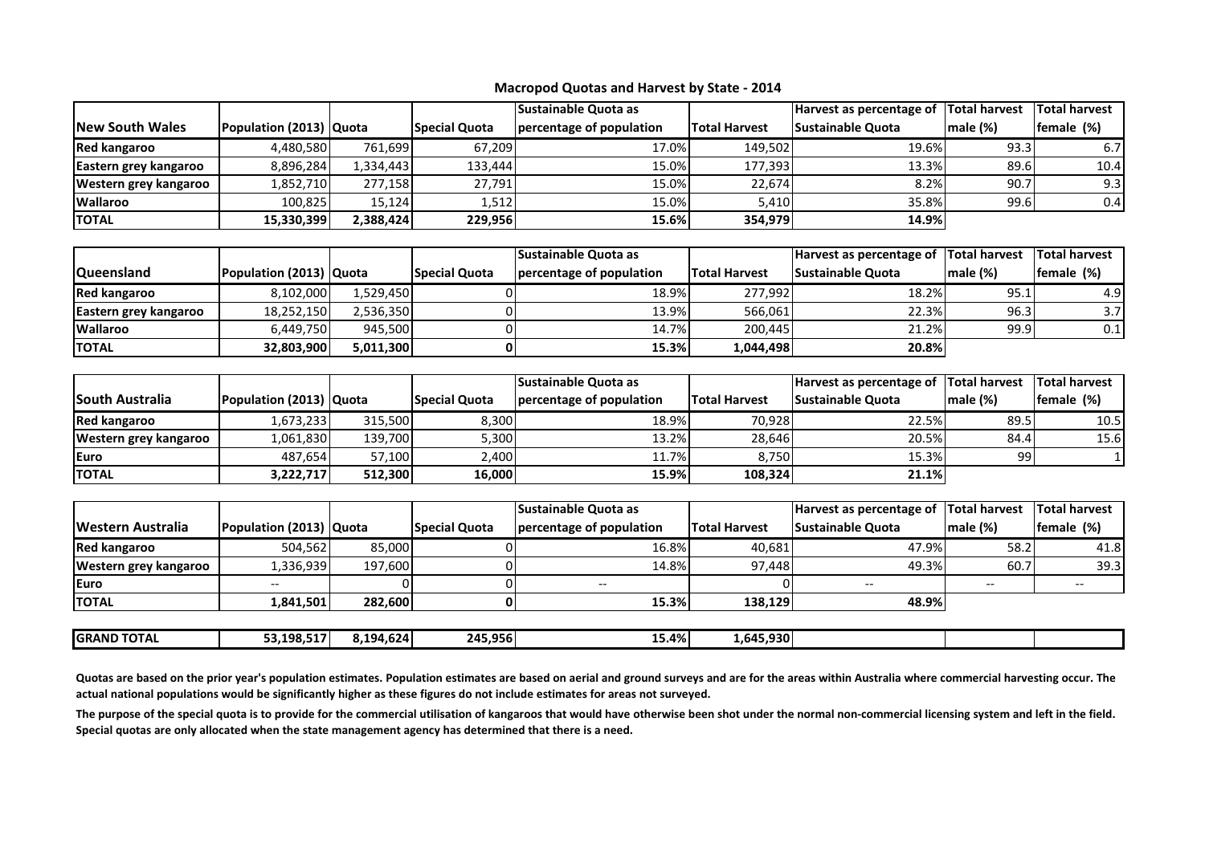|                         |                         |           |                      | <b>Sustainable Quota as</b> |                      | Harvest as percentage of  Total harvest |         | <b>Total harvest</b> |
|-------------------------|-------------------------|-----------|----------------------|-----------------------------|----------------------|-----------------------------------------|---------|----------------------|
| <b>INew South Wales</b> | Population (2013) Quota |           | <b>Special Quota</b> | percentage of population    | <b>Total Harvest</b> | Sustainable Quota                       | male(%) | female (%)           |
| Red kangaroo            | 4,480,580               | 761,699   | 67,209               | 17.0%                       | 149.502              | 19.6%                                   | 93.3    | 6.71                 |
| Eastern grey kangaroo   | 8,896,284               | 1,334,443 | 133,444              | 15.0%                       | 177.393              | 13.3%                                   | 89.6    | 10.4                 |
| Western grey kangaroo   | 1,852,710               | 277.158   | 27,791               | 15.0%                       | 22.674               | 8.2%                                    | 90.7    | 9.3                  |
| <b>Wallaroo</b>         | 100,825                 | 15.124    | 1,512                | 15.0%                       | 5.410                | 35.8%                                   | 99.6    | 0.4                  |
| <b>ITOTAL</b>           | 15,330,399              | 2,388,424 | 229,956              | 15.6%                       | 354.979              | 14.9%                                   |         |                      |

|                       |                         |           |                      | <b>Sustainable Quota as</b> |                      | Harvest as percentage of Total harvest |         | <b>Total harvest</b> |
|-----------------------|-------------------------|-----------|----------------------|-----------------------------|----------------------|----------------------------------------|---------|----------------------|
| <b>Queensland</b>     | Population (2013) Quota |           | <b>Special Quota</b> | percentage of population    | <b>Total Harvest</b> | <b>Sustainable Quota</b>               | male(%) | female (%)           |
| Red kangaroo          | 8,102,000               | 1,529,450 |                      | 18.9%                       | 277.992              | 18.2%                                  | 95.1    | 4.91                 |
| Eastern grey kangaroo | 18,252,150              | 2.536.350 |                      | 13.9%                       | 566,061              | 22.3%                                  | 96.3    | 3.7I                 |
| <b>Wallaroo</b>       | 6.449.750               | 945.500   |                      | 14.7%                       | 200.445              | 21.2%                                  | 99.9    | 0.1                  |
| <b>ITOTAL</b>         | 32.803.900              | 5,011,300 |                      | 15.3%                       | 1,044,498            | <b>20.8%</b>                           |         |                      |

|                        |                         |         |                      | <b>Sustainable Quota as</b> |                      | Harvest as percentage of Total harvest |                 | <b>Total harvest</b> |
|------------------------|-------------------------|---------|----------------------|-----------------------------|----------------------|----------------------------------------|-----------------|----------------------|
| <b>South Australia</b> | Population (2013) Quota |         | <b>Special Quota</b> | percentage of population    | <b>Total Harvest</b> | <b>Sustainable Quota</b>               | $ $ male $(\%)$ | female (%)           |
| <b>Red kangaroo</b>    | 1,673,233               | 315.500 | 8,300                | 18.9%                       | 70.928               | 22.5%                                  | 89.5            | 10.5                 |
| Western grey kangaroo  | .061,830                | 139.700 | ا300,                | 13.2%                       | 28.646               | 20.5%                                  | 84.4            | 15.6                 |
| <b>IEuro</b>           | 487,654                 | 57,100  | 2,400                | 11.7%                       | 8,750                | 15.3%                                  | 99              |                      |
| <b>TOTAL</b>           | 3,222,717               | 512.300 | 16,000               | 15.9%                       | 108,324              | 21.1%                                  |                 |                      |

| female (%) |
|------------|
|            |
| 41.8       |
| 39.31      |
|            |
|            |
|            |

| <b>GRAND TOTAL</b> | 53.198.517<br>- 1 | 8.194.624 | 245.956 | 15.4% | ا30.455.930 |  |  |
|--------------------|-------------------|-----------|---------|-------|-------------|--|--|
|                    |                   |           |         |       |             |  |  |

Quotas are based on the prior year's population estimates. Population estimates are based on aerial and ground surveys and are for the areas within Australia where commercial harvesting occur. The **actual national populations would be significantly higher as these figures do not include estimates for areas not surveyed.**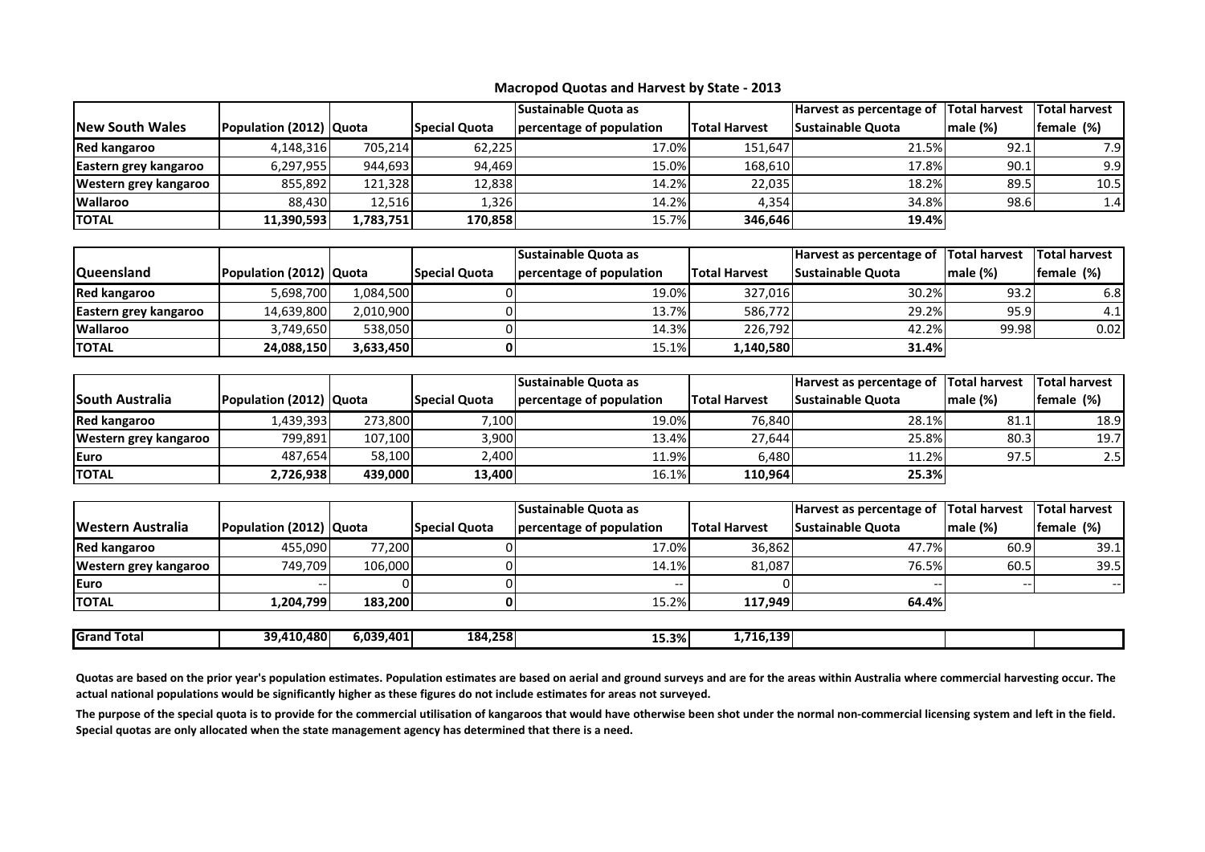|                         |                         |           |                      | <b>Sustainable Quota as</b> |                      | Harvest as percentage of | <b>Total harvest</b> | <b>Total harvest</b> |
|-------------------------|-------------------------|-----------|----------------------|-----------------------------|----------------------|--------------------------|----------------------|----------------------|
| <b>INew South Wales</b> | Population (2012) Quota |           | <b>Special Quota</b> | percentage of population    | <b>Total Harvest</b> | Sustainable Quota        | male(%)              | female (%)           |
| Red kangaroo            | 4,148,316               | 705.214   | 62,225               | 17.0%                       | 151.647              | 21.5%                    | 92.1                 | 7.91                 |
| Eastern grey kangaroo   | 6,297,955               | 944.693   | 94,469               | 15.0%                       | 168.610              | 17.8%                    | 90.1                 | 9.9                  |
| Western grey kangaroo   | 855,892                 | 121.328   | 12,838               | 14.2%                       | 22,035               | 18.2%                    | 89.5                 | 10.5                 |
| <b>Wallaroo</b>         | 88,430                  | 12,516    | 1,326                | 14.2%                       | 4.354                | 34.8%                    | 98.6                 | 1.4 <sup>1</sup>     |
| <b>ITOTAL</b>           | 11,390,593              | 1,783,751 | 170,858              | 15.7%                       | 346.646              | 19.4%                    |                      |                      |

|                       |                         |           |                      | <b>Sustainable Quota as</b> |                      | Harvest as percentage of Total harvest |         | Total harvest |
|-----------------------|-------------------------|-----------|----------------------|-----------------------------|----------------------|----------------------------------------|---------|---------------|
| <b>Queensland</b>     | Population (2012) Quota |           | <b>Special Quota</b> | percentage of population    | <b>Total Harvest</b> | <b>Sustainable Quota</b>               | male(%) | female (%)    |
| Red kangaroo          | 5.698.700               | 1.084.500 |                      | 19.0%                       | 327.016              | 30.2%                                  | 93.2    | 6.8I          |
| Eastern grey kangaroo | 14,639,800              | 2,010,900 |                      | 13.7%                       | 586.772              | 29.2%                                  | 95.9    | 4.1           |
| <b>Wallaroo</b>       | 3.749.650               | 538.050   |                      | 14.3%                       | 226.792              | 42.2%                                  | 99.98   | 0.02          |
| <b>ITOTAL</b>         | 24.088.150              | 3.633.450 |                      | 15.1%                       | 1,140,580            | <b>31.4%</b>                           |         |               |

|                         |                         |         |                      | <b>Sustainable Quota as</b> |                      | Harvest as percentage of | <b>Total harvest</b> | <b>Total harvest</b> |
|-------------------------|-------------------------|---------|----------------------|-----------------------------|----------------------|--------------------------|----------------------|----------------------|
| <b>ISouth Australia</b> | Population (2012) Quota |         | <b>Special Quota</b> | percentage of population    | <b>Total Harvest</b> | <b>Sustainable Quota</b> | male (%)             | female (%)           |
| <b>Red kangaroo</b>     | L.439.393               | 273.800 | 7,100                | 19.0%                       | 76.840               | 28.1%                    | 81.1                 | 18.9                 |
| Western grey kangaroo   | 799,891                 | 107,100 | 3,900                | 13.4%                       | 27.644               | 25.8%                    | 80.3                 | 19.7                 |
| lEuro                   | 487.654                 | 58,100  | 2.400                | 11.9%                       | 6.480                | 11.2%                    | 97.5                 | 2.5                  |
| <b>ITOTAL</b>           | 2,726,938               | 439.000 | 13.400 l             | 16.1%                       | 110.964              | 25.3%                    |                      |                      |

|                       |                         |         |                      | <b>Sustainable Quota as</b> |                      | Harvest as percentage of Total harvest |         | <b>Total harvest</b> |
|-----------------------|-------------------------|---------|----------------------|-----------------------------|----------------------|----------------------------------------|---------|----------------------|
| Western Australia     | Population (2012) Quota |         | <b>Special Quota</b> | percentage of population    | <b>Total Harvest</b> | <b>Sustainable Quota</b>               | male(%) | <b>female</b> (%)    |
| <b>Red kangaroo</b>   | 455,090                 | 77,200  |                      | 17.0%                       | 36.862               | 47.7%                                  | 60.9    | 39.1                 |
| Western grey kangaroo | 749.709                 | 106.000 |                      | 14.1%                       | 81.087               | 76.5%                                  | 60.5    | 39.5                 |
| lEuro                 |                         |         |                      |                             |                      |                                        |         |                      |
| <b>TOTAL</b>          | 1,204,799               | 183.200 |                      | 15.2%                       | 117.949              | 64.4%l                                 |         |                      |
|                       |                         |         |                      |                             |                      |                                        |         |                      |

| <b>I</b> Grand<br>Total | 39.4<br>10.4801 | 6.039.401 | 184,258 | 1 E 20/<br><b>LJ.J70</b> | .139<br>---<br>71 F |  |  |
|-------------------------|-----------------|-----------|---------|--------------------------|---------------------|--|--|
|                         |                 |           |         |                          |                     |  |  |

Quotas are based on the prior year's population estimates. Population estimates are based on aerial and ground surveys and are for the areas within Australia where commercial harvesting occur. The **actual national populations would be significantly higher as these figures do not include estimates for areas not surveyed.**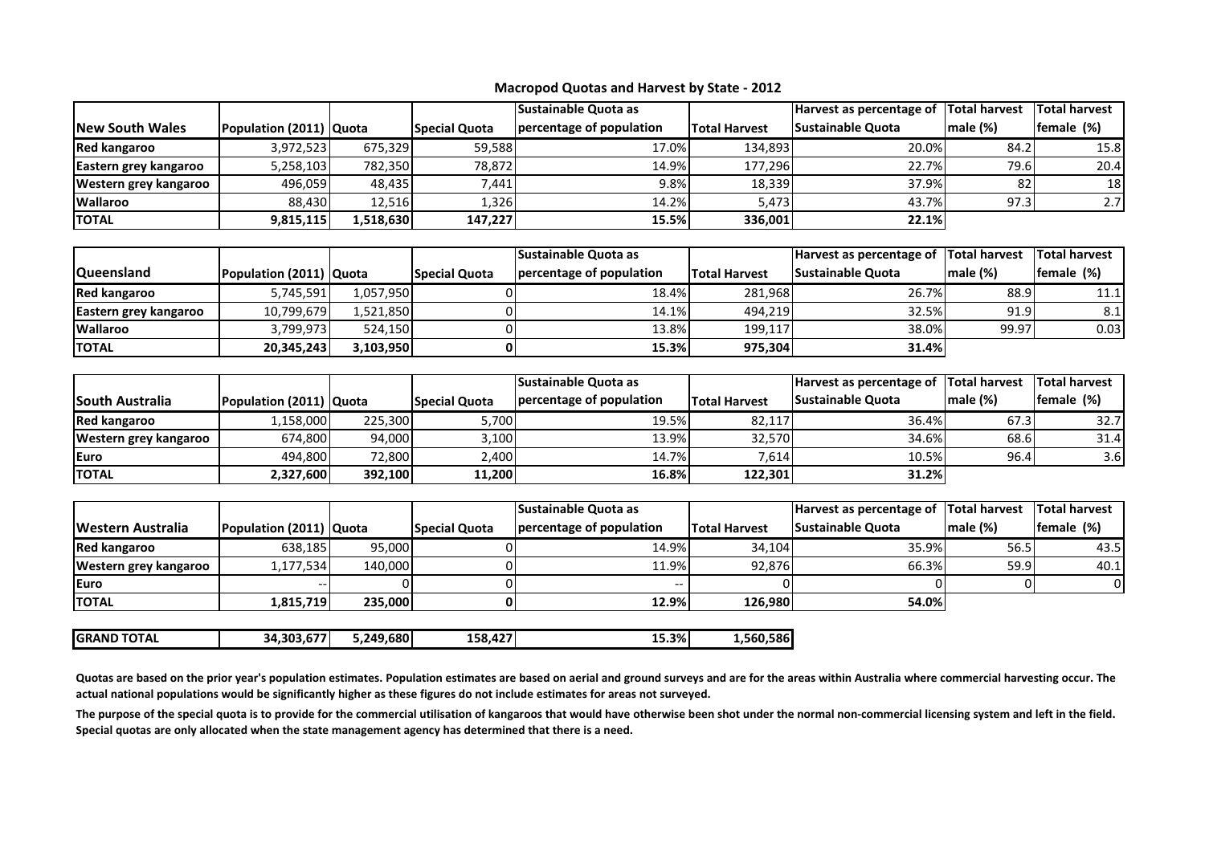|                         |                         |          |                      | <b>Sustainable Quota as</b> |                      | Harvest as percentage of | Total harvest | <b>Total harvest</b> |
|-------------------------|-------------------------|----------|----------------------|-----------------------------|----------------------|--------------------------|---------------|----------------------|
| <b>INew South Wales</b> | Population (2011) Quota |          | <b>Special Quota</b> | percentage of population    | <b>Total Harvest</b> | <b>Sustainable Quota</b> | male(%)       | female (%)           |
| Red kangaroo            | 3,972,523               | 675.329  | 59,588               | 17.0%                       | 134.893              | 20.0%                    | 84.2          | 15.8                 |
| Eastern grey kangaroo   | 5,258,103               | 782.350  | 78,872               | 14.9%                       | 177.296              | 22.7%                    | 79.6          | 20.4                 |
| Western grey kangaroo   | 496,059                 | 48.435   | 7,441                | 9.8%                        | 18,339               | 37.9%                    | 82            | 18 <sup>1</sup>      |
| <b>Wallaroo</b>         | 88,430                  | 12,516   | 1,326                | 14.2%                       | 5.473                | 43.7%                    | 97.3          | 2.7                  |
| <b>ITOTAL</b>           | 9,815,115               | .518,630 | 147,227              | 15.5%                       | 336.001              | 22.1%                    |               |                      |

|                       |                         |           |                      | <b>Sustainable Quota as</b> |                      | Harvest as percentage of Total harvest |         | <b>Total harvest</b> |
|-----------------------|-------------------------|-----------|----------------------|-----------------------------|----------------------|----------------------------------------|---------|----------------------|
| <b>Queensland</b>     | Population (2011) Quota |           | <b>Special Quota</b> | percentage of population    | <b>Total Harvest</b> | <b>Sustainable Quota</b>               | male(%) | female (%)           |
| Red kangaroo          | 5.745.591               | 1.057.950 |                      | 18.4%                       | 281,968              | 26.7%                                  | 88.9    | 11.1                 |
| Eastern grey kangaroo | 10.799.679              | 1,521,850 |                      | 14.1%                       | 494.219              | 32.5%                                  | 91.9    | 8.1                  |
| <b>Wallaroo</b>       | 3,799,973               | 524.150   |                      | 13.8%                       | 199.117              | 38.0%                                  | 99.97   | 0.03                 |
| <b>ITOTAL</b>         | 20.345.243              | 3,103,950 |                      | 15.3%                       | 975.304              | <b>31.4%</b>                           |         |                      |

|                         |                         |         |                      | <b>Sustainable Quota as</b> |                      | Harvest as percentage of  | <b>Total harvest</b> | <b>Total harvest</b> |
|-------------------------|-------------------------|---------|----------------------|-----------------------------|----------------------|---------------------------|----------------------|----------------------|
| <b>ISouth Australia</b> | Population (2011) Quota |         | <b>Special Quota</b> | percentage of population    | <b>Total Harvest</b> | <b>ISustainable Quota</b> | male(%)              | female (%)           |
| <b>Red kangaroo</b>     | 1,158,000               | 225,300 | 5,700                | 19.5%                       | 82,117               | 36.4%                     | 67.3                 | 32.7                 |
| Western grey kangaroo   | 674,800                 | 94,000  | 3,100                | 13.9%                       | 32.570               | 34.6%                     | 68.6                 | 31.4                 |
| lEuro                   | 494.800                 | 72.800  | 2.400                | 14.7%                       | 7.614                | 10.5%                     | 96.4                 | 3.6 <sub>l</sub>     |
| ΙΤΟΤΑΙ                  | 2,327,600               | 392.100 | 11.200               | 16.8%                       | 122.301              | <b>31.2%</b>              |                      |                      |

|                          |                         |         |                      | <b>Sustainable Quota as</b> |                      | Harvest as percentage of Total harvest |              | <b>Total harvest</b> |
|--------------------------|-------------------------|---------|----------------------|-----------------------------|----------------------|----------------------------------------|--------------|----------------------|
| <b>Western Australia</b> | Population (2011) Quota |         | <b>Special Quota</b> | percentage of population    | <b>Total Harvest</b> | <b>Sustainable Quota</b>               | $Imale (\%)$ | female (%)           |
| <b>Red kangaroo</b>      | 638.185                 | 95.000  |                      | 14.9%                       | 34,104               | 35.9%                                  | 56.5         | 43.5                 |
| Western grey kangaroo    | <sub>1</sub> ,177,534   | 140.000 |                      | 11.9%                       | 92,876               | 66.3%                                  | 59.9         | 40.11                |
| <b>IEuro</b>             |                         |         |                      |                             |                      |                                        |              |                      |
| <b>ITOTAL</b>            | 1,815,719               | 235.000 |                      | 12.9%                       | 126.980              | 54.0%l                                 |              |                      |

| <b>IGRAND TOTAL</b> | ----<br>.303.67<br>34 | 49.680<br>5 249 | $- -$<br>158 | 15.3% | .586<br>.560 |
|---------------------|-----------------------|-----------------|--------------|-------|--------------|
|                     |                       | .               | .            |       |              |

Quotas are based on the prior year's population estimates. Population estimates are based on aerial and ground surveys and are for the areas within Australia where commercial harvesting occur. The **actual national populations would be significantly higher as these figures do not include estimates for areas not surveyed.**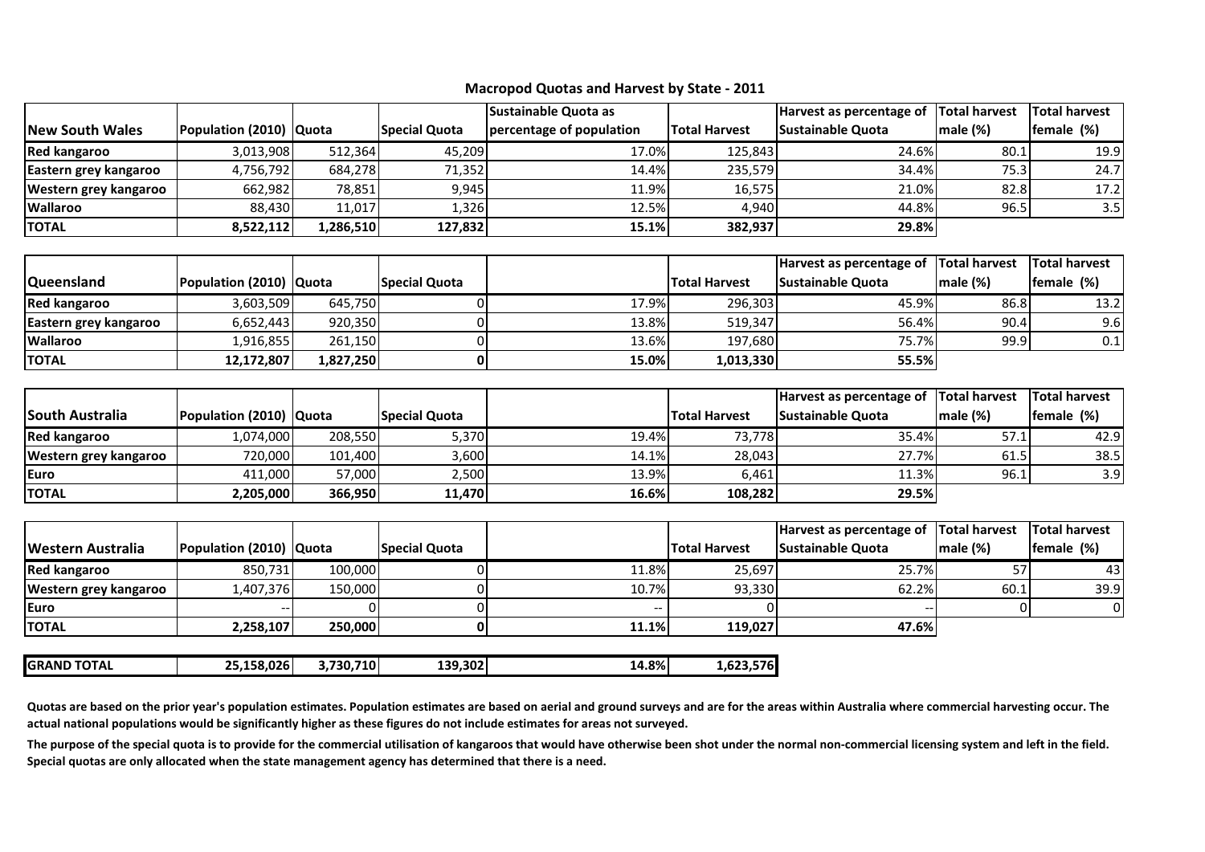|                        |                         |            |                      | <b>Sustainable Quota as</b><br>Harvest as percentage of |                      | <b>Total harvest</b> | <b>Total harvest</b> |            |
|------------------------|-------------------------|------------|----------------------|---------------------------------------------------------|----------------------|----------------------|----------------------|------------|
| <b>New South Wales</b> | Population (2010) Quota |            | <b>Special Quota</b> | percentage of population                                | <b>Total Harvest</b> | Sustainable Quota    | male (%)             | female (%) |
| <b>Red kangaroo</b>    | 3,013,908               | 512,364    | 45,209               | 17.0%                                                   | 125,843              | 24.6%                | 80.1                 | 19.9       |
| Eastern grey kangaroo  | 4,756,792               | 684,278    | 71,352               | 14.4%                                                   | 235,579              | 34.4%                | 75.3                 | 24.7       |
| Western grey kangaroo  | 662.982                 | 78,851     | 9.945                | 11.9%                                                   | 16.575               | 21.0%                | 82.8                 | 17.2       |
| <b>Wallaroo</b>        | 88.430                  | 11.017     | 1,326                | 12.5%                                                   | 4.940                | 44.8%                | 96.5                 | 3.5        |
| <b>TOTAL</b>           | 8,522,112               | l.286.510l | 127.832              | 15.1%                                                   | 382,937              | 29.8%                |                      |            |

|                       |                         |           |                      |       |                      | Harvest as percentage of Total harvest |          | <b>Total harvest</b> |
|-----------------------|-------------------------|-----------|----------------------|-------|----------------------|----------------------------------------|----------|----------------------|
| <b>Queensland</b>     | Population (2010) Quota |           | <b>Special Quota</b> |       | <b>Total Harvest</b> | <b>Sustainable Quota</b>               | male (%) | female (%)           |
| <b>Red kangaroo</b>   | 3,603,509               | 645,750   |                      | 17.9% | 296,303              | 45.9%                                  | 86.8     | 13.2                 |
| Eastern grey kangaroo | 6,652,443               | 920.350   |                      | 13.8% | 519,347              | 56.4%                                  | 90.4     | 9.6                  |
| <b>Wallaroo</b>       | ا58,16,855∣             | 261,150   |                      | 13.6% | 197.680              | 75.7%                                  | 99.9     | 0.1                  |
| <b>TOTAL</b>          | 12.172.807              | 1,827,250 |                      | 15.0% | 1,013,330            | 55.5%                                  |          |                      |

|                        |                           |         |                      |       |                      | Harvest as percentage of | <b>Total harvest</b> | <b>Total harvest</b> |
|------------------------|---------------------------|---------|----------------------|-------|----------------------|--------------------------|----------------------|----------------------|
| <b>South Australia</b> | Population (2010)   Quota |         | <b>Special Quota</b> |       | <b>Total Harvest</b> | <b>Sustainable Quota</b> | male(%)              | female (%)           |
| <b>Red kangaroo</b>    | 1,074,000                 | 208.550 | 5,370                | 19.4% | 73.778               | 35.4%                    | 57.1                 | 42.9                 |
| Western grey kangaroo  | 720,000                   | 101.400 | 3,600                | 14.1% | 28,043               | 27.7%                    | 61.5                 | 38.5                 |
| <b>IEuro</b>           | 411.000                   | 57.000  | 2,500                | 13.9% | 6.461                | 11.3%                    | 96.1                 | 3.9                  |
| <b>TOTAL</b>           | 2,205,000                 | 366,950 | 11,470               | 16.6% | 108,282              | <b>29.5%</b>             |                      |                      |

|                          |                           |         |                      |       |                      | Harvest as percentage of Total harvest |         | <b>Total harvest</b> |
|--------------------------|---------------------------|---------|----------------------|-------|----------------------|----------------------------------------|---------|----------------------|
| <b>Western Australia</b> | Population (2010)   Quota |         | <b>Special Quota</b> |       | <b>Total Harvest</b> | <b>Sustainable Quota</b>               | male(%) | female (%)           |
| <b>Red kangaroo</b>      | 850,731                   | 100,000 |                      | 11.8% | 25.697               | 25.7%                                  |         | 43                   |
| Western grey kangaroo    | 1,407,376                 | 150.000 |                      | 10.7% | 93.330               | 62.2%                                  | 60.1    | 39.9                 |
| <b>L</b> uro             |                           |         |                      |       |                      |                                        |         | ΟI                   |
| <b>TOTAL</b>             | 2,258,107                 | 250.000 |                      | 11.1% | 119,027              | 47.6%                                  |         |                      |
|                          |                           |         |                      |       |                      |                                        |         |                      |

| IGRAND<br><b>TOTAL</b> | .158.0261<br>~~ | .730.710 | 139 302  <br>139,302<br>$\sim$ | 14.8%<br>$ -$ | .576<br>-,04<br>. |
|------------------------|-----------------|----------|--------------------------------|---------------|-------------------|
|                        |                 |          |                                |               |                   |

**Quotas are based on the prior year's population estimates. Population estimates are based on aerial and ground surveys and are for the areas within Australia where commercial harvesting occur. The actual national populations would be significantly higher as these figures do not include estimates for areas not surveyed.**